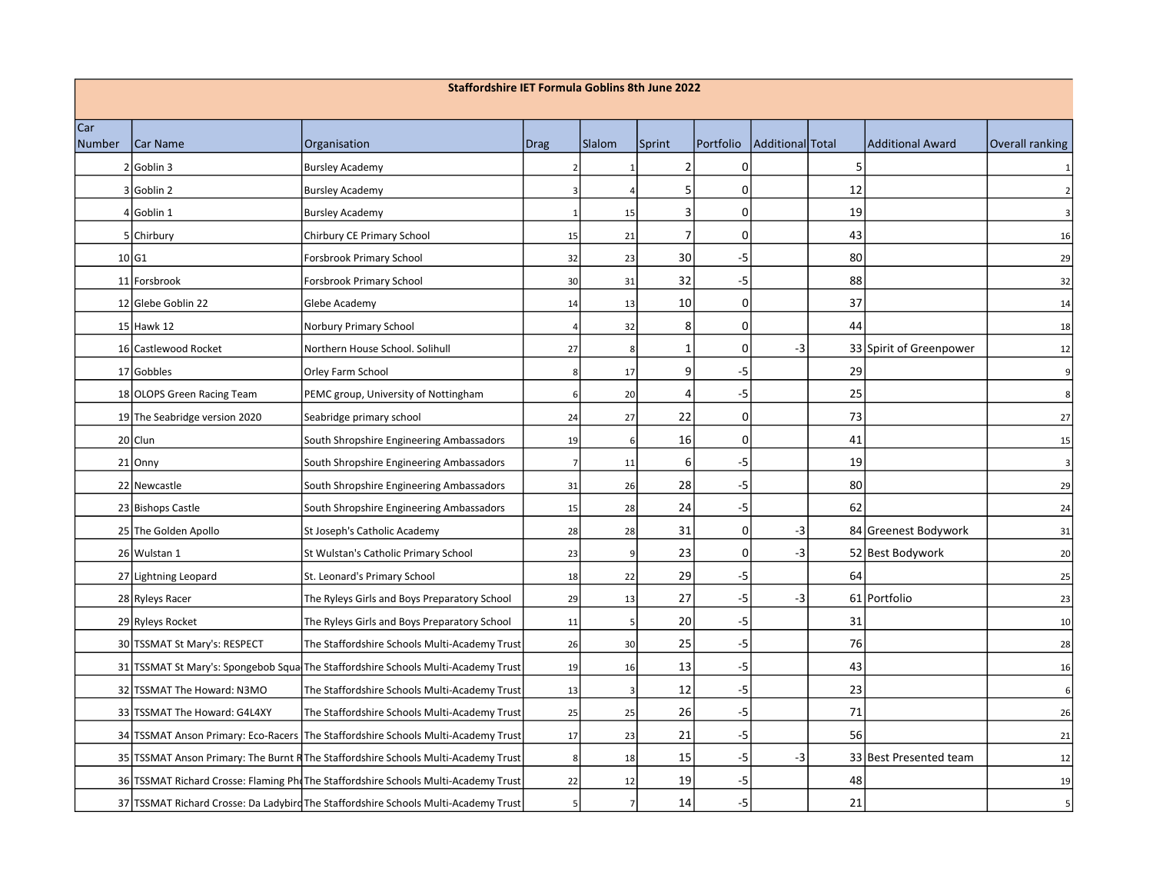| <b>Staffordshire IET Formula Goblins 8th June 2022</b> |                               |                                                                                     |                |        |                 |             |                  |    |                         |                        |
|--------------------------------------------------------|-------------------------------|-------------------------------------------------------------------------------------|----------------|--------|-----------------|-------------|------------------|----|-------------------------|------------------------|
| Car<br>Number                                          | Car Name                      | Organisation                                                                        | <b>Drag</b>    | Slalom | Sprint          | Portfolio   | Additional Total |    | <b>Additional Award</b> | <b>Overall ranking</b> |
|                                                        | 2 Goblin 3                    | <b>Bursley Academy</b>                                                              |                |        | $\overline{2}$  | 0           |                  | 5  |                         |                        |
|                                                        | 3 Goblin 2                    | <b>Bursley Academy</b>                                                              |                |        |                 | 0           |                  | 12 |                         |                        |
|                                                        | 4 Goblin 1                    | <b>Bursley Academy</b>                                                              |                | 15     | 3               | $\mathbf 0$ |                  | 19 |                         |                        |
|                                                        | 5 Chirbury                    | Chirbury CE Primary School                                                          | 15             | 21     | $\overline{7}$  | 0           |                  | 43 |                         | 16                     |
|                                                        | 10 G1                         | Forsbrook Primary School                                                            | 32             | 23     | 30              | $-5$        |                  | 80 |                         | 29                     |
|                                                        | 11 Forsbrook                  | Forsbrook Primary School                                                            | 30             | 31     | 32              | $-5$        |                  | 88 |                         | 32                     |
|                                                        | 12 Glebe Goblin 22            | Glebe Academy                                                                       | 14             | 13     | 10              | $\mathsf 0$ |                  | 37 |                         | 14                     |
|                                                        | $15$ Hawk 12                  | Norbury Primary School                                                              | 4              | 32     | 8               | 0           |                  | 44 |                         | 18                     |
|                                                        | 16 Castlewood Rocket          | Northern House School. Solihull                                                     | 27             | 8      | $\mathbf{1}$    | 0           | -3               |    | 33 Spirit of Greenpower | 12                     |
|                                                        | 17 Gobbles                    | Orley Farm School                                                                   | 8              | 17     | $\vert 9 \vert$ | $-5$        |                  | 29 |                         |                        |
|                                                        | 18 OLOPS Green Racing Team    | PEMC group, University of Nottingham                                                | 6              | 20     | $\Delta$        | $-5$        |                  | 25 |                         |                        |
|                                                        | 19 The Seabridge version 2020 | Seabridge primary school                                                            | 24             | 27     | 22              | $\mathbf 0$ |                  | 73 |                         | 27                     |
|                                                        | 20 Clun                       | South Shropshire Engineering Ambassadors                                            | 19             | 6      | 16              | 0           |                  | 41 |                         | 15                     |
|                                                        | $21$ Onny                     | South Shropshire Engineering Ambassadors                                            | $\overline{7}$ | 11     | 6               | $-5$        |                  | 19 |                         | 3                      |
|                                                        | 22 Newcastle                  | South Shropshire Engineering Ambassadors                                            | 31             | 26     | 28              | -5          |                  | 80 |                         | 29                     |
|                                                        | 23 Bishops Castle             | South Shropshire Engineering Ambassadors                                            | 15             | 28     | 24              | $-5$        |                  | 62 |                         | 24                     |
|                                                        | 25 The Golden Apollo          | St Joseph's Catholic Academy                                                        | 28             | 28     | 31              | 0           | -3               |    | 84 Greenest Bodywork    | 31                     |
|                                                        | 26 Wulstan 1                  | St Wulstan's Catholic Primary School                                                | 23             | 9      | 23              | 0           | -3               |    | 52 Best Bodywork        | 20                     |
|                                                        | 27 Lightning Leopard          | St. Leonard's Primary School                                                        | 18             | 22     | 29              | $-5$        |                  | 64 |                         | 25                     |
|                                                        | 28 Ryleys Racer               | The Ryleys Girls and Boys Preparatory School                                        | 29             | 13     | 27              | $-5$        | -3               |    | 61 Portfolio            | 23                     |
|                                                        | 29 Ryleys Rocket              | The Ryleys Girls and Boys Preparatory School                                        | 11             | 5      | 20              | $-5$        |                  | 31 |                         | 10                     |
|                                                        | 30 TSSMAT St Mary's: RESPECT  | The Staffordshire Schools Multi-Academy Trust                                       | 26             | 30     | 25              | $-5$        |                  | 76 |                         | 28                     |
|                                                        |                               | 31 TSSMAT St Mary's: Spongebob Squal The Staffordshire Schools Multi-Academy Trust  | 19             | 16     | 13              | $-5$        |                  | 43 |                         | 16                     |
|                                                        | 32 TSSMAT The Howard: N3MO    | The Staffordshire Schools Multi-Academy Trust                                       | 13             |        | 12              | $-5$        |                  | 23 |                         | 6                      |
|                                                        | 33 TSSMAT The Howard: G4L4XY  | The Staffordshire Schools Multi-Academy Trust                                       | 25             | 25     | 26              | -5          |                  | 71 |                         | 26                     |
|                                                        |                               | 34 TSSMAT Anson Primary: Eco-Racers The Staffordshire Schools Multi-Academy Trust   | 17             | 23     | 21              | $-5$        |                  | 56 |                         | 21                     |
|                                                        |                               | 35 TSSMAT Anson Primary: The Burnt R The Staffordshire Schools Multi-Academy Trust  | $\bf 8$        | 18     | 15              | -5          | -3               |    | 33 Best Presented team  | 12                     |
|                                                        |                               | 36 TSSMAT Richard Crosse: Flaming Pho The Staffordshire Schools Multi-Academy Trust | 22             | 12     | 19              | $-5$        |                  | 48 |                         | 19                     |
|                                                        |                               | 37 TSSMAT Richard Crosse: Da Ladybird The Staffordshire Schools Multi-Academy Trust | 5              | 7      | 14              | $-5$        |                  | 21 |                         |                        |